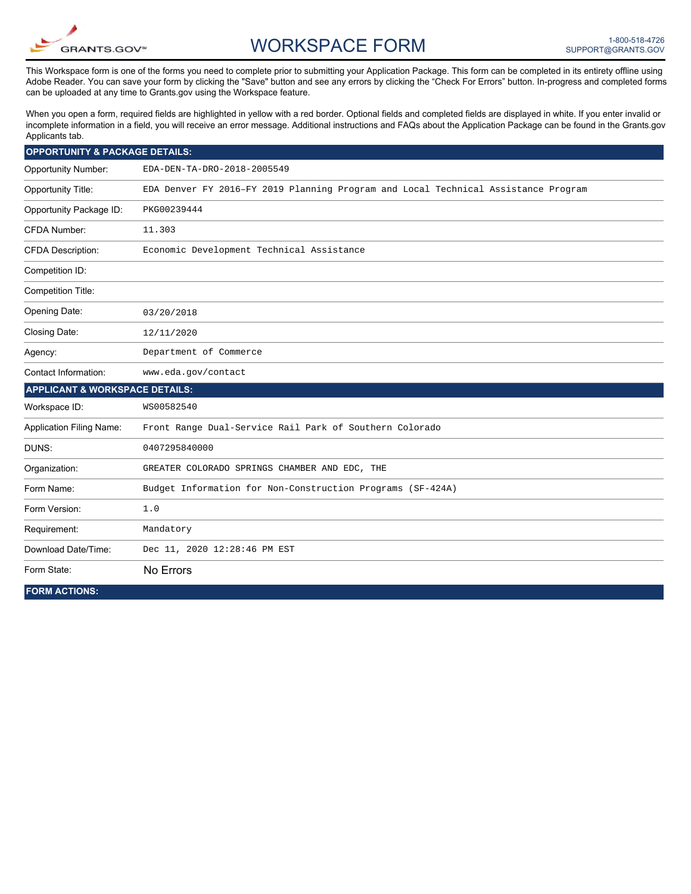

## WORKSPACE FORM

This Workspace form is one of the forms you need to complete prior to submitting your Application Package. This form can be completed in its entirety offline using Adobe Reader. You can save your form by clicking the "Save" button and see any errors by clicking the "Check For Errors" button. In-progress and completed forms can be uploaded at any time to Grants.gov using the Workspace feature.

When you open a form, required fields are highlighted in yellow with a red border. Optional fields and completed fields are displayed in white. If you enter invalid or incomplete information in a field, you will receive an error message. Additional instructions and FAQs about the Application Package can be found in the Grants.gov Applicants tab.

| <b>OPPORTUNITY &amp; PACKAGE DETAILS:</b> |                                                                                    |
|-------------------------------------------|------------------------------------------------------------------------------------|
| <b>Opportunity Number:</b>                | EDA-DEN-TA-DRO-2018-2005549                                                        |
| <b>Opportunity Title:</b>                 | EDA Denver FY 2016-FY 2019 Planning Program and Local Technical Assistance Program |
| Opportunity Package ID:                   | PKG00239444                                                                        |
| <b>CFDA Number:</b>                       | 11.303                                                                             |
| <b>CFDA Description:</b>                  | Economic Development Technical Assistance                                          |
| Competition ID:                           |                                                                                    |
| <b>Competition Title:</b>                 |                                                                                    |
| Opening Date:                             | 03/20/2018                                                                         |
| Closing Date:                             | 12/11/2020                                                                         |
| Agency:                                   | Department of Commerce                                                             |
| Contact Information:                      | www.eda.gov/contact                                                                |
| <b>APPLICANT &amp; WORKSPACE DETAILS:</b> |                                                                                    |
| Workspace ID:                             | WS00582540                                                                         |
| <b>Application Filing Name:</b>           | Front Range Dual-Service Rail Park of Southern Colorado                            |
| DUNS:                                     | 0407295840000                                                                      |
| Organization:                             | GREATER COLORADO SPRINGS CHAMBER AND EDC, THE                                      |
| Form Name:                                | Budget Information for Non-Construction Programs (SF-424A)                         |
| Form Version:                             | 1.0                                                                                |
| Requirement:                              | Mandatory                                                                          |
| Download Date/Time:                       | Dec 11, 2020 12:28:46 PM EST                                                       |
| Form State:                               | No Errors                                                                          |
| <b>FORM ACTIONS:</b>                      |                                                                                    |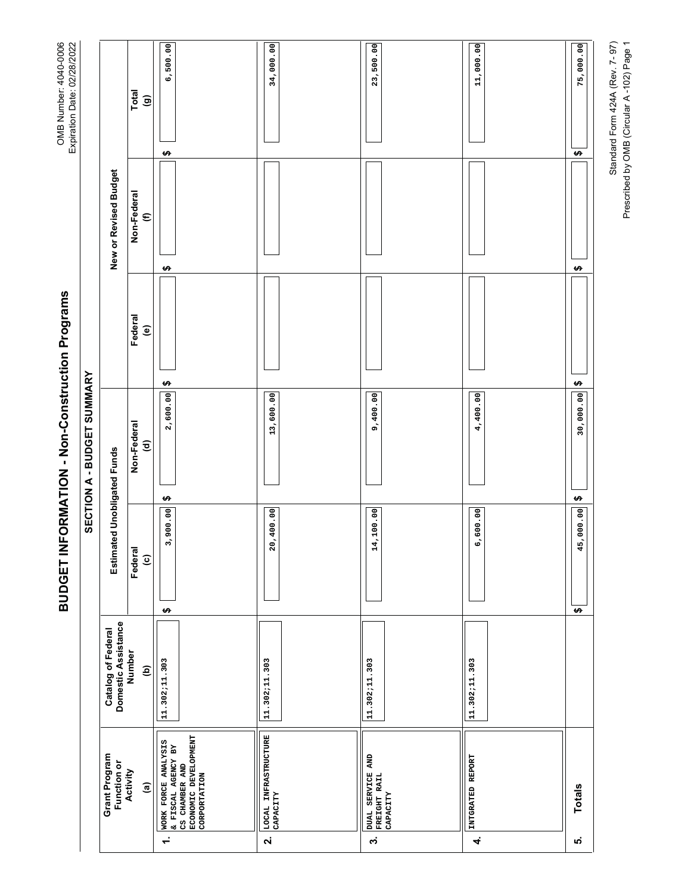| コクリングリーク<br>Lype and Date  |                                           | Total<br>$\widehat{\mathbf{e}}$                                            | 6,500.00<br>↮                                                                                                 | 34,000.00                                              | 23,500.00                                                          | 11,000.00                     | 75,000.00<br>$\boldsymbol{\varphi}$ |
|----------------------------|-------------------------------------------|----------------------------------------------------------------------------|---------------------------------------------------------------------------------------------------------------|--------------------------------------------------------|--------------------------------------------------------------------|-------------------------------|-------------------------------------|
|                            | New or Revised Budget                     | Non-Federal<br>$\epsilon$                                                  | ↮                                                                                                             |                                                        |                                                                    |                               | $\boldsymbol{\varphi}$              |
| SECTION A - BUDGET SUMMARY |                                           | Federal<br>$\widehat{\mathbf{e}}$<br>Non-Federal<br>$\widehat{\mathbf{c}}$ | ↮<br>2,600.00                                                                                                 | 13,600.00                                              | 9,400.00                                                           | 4,400.00                      | $\rightarrow$<br>30,000.00          |
|                            | Estimated Unobligated Funds               | Federal<br>$\widehat{\mathbf{c}}$                                          | ↮<br>3,900.00<br>↮                                                                                            | 20,400.00                                              | 14,100.00                                                          | 6,600.00                      | Ø<br>45,000.00<br>$\pmb{\varphi}$   |
|                            | Domestic Assistance<br>Catalog of Federal | Number<br>ê                                                                | 11.302;11.303                                                                                                 | 11.302;11.303                                          | 11.302;11.303                                                      | 11.302;11.303                 |                                     |
|                            | Grant Program<br>Function or              | Activity<br>$\widehat{a}$                                                  | ECONOMIC DEVELOPMENT<br>CORPORTATION<br>WORK FORCE ANALYSIS<br>& FISCAL AGENCY BY<br>CS CHAMBER AND<br>$\div$ | LOCAL INFRASTRUCTURE<br>CAPACITY<br>$\dot{\mathbf{v}}$ | DUAL SERVICE AND<br>FREIGHT RAIL<br>CAPACITY<br>$\dot{\mathbf{c}}$ | INTGRATED REPORT<br>$\vec{r}$ | <b>Totals</b><br>ю,                 |

BUDGET INFORMATION - Non-Construction Programs **BUDGET INFORMATION - Non-Construction Programs**

OMB Number: 4040-0006<br>Expiration Date: 02/28/2022 OMB Number: 4040-0006 Expiration Date: 02/28/2022 Standard Form 424A (Rev. 7- 97)<br>Prescribed by OMB (Circular A -102) Page 1 Standard Form 424A (Rev. 7- 97) Prescribed by OMB (Circular A -102) Page 1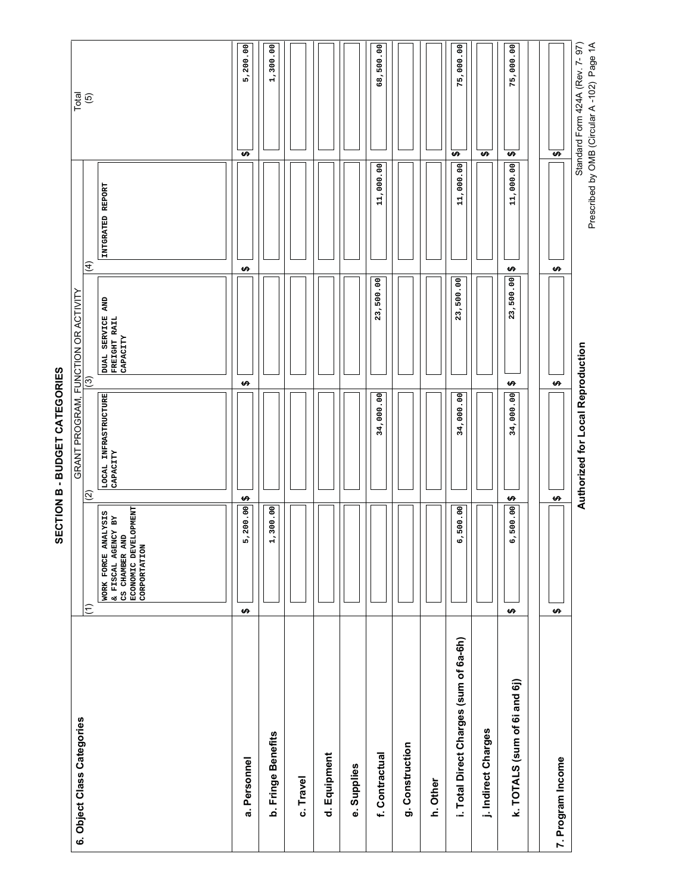5,200.00 Standard Form 424A (Rev. 7-97) 1,300.00 68,500.00 Standard Form 424A (Rev. 7- 97) 75,000.00 75,000.00 **5,200.00 1,300.00 68,500.00 75,000.00 75,000.00** Total (5)  $(3)$  (7)  $(4)$  (4)  $(5)$  (8)  $(6)$ **\$\$\$\$\$** 11,000.00 11,000.00 11,000.00 **11,000.00 11,000.00 11,000.00** INTGRATED REPORT **INTGRATED REPORT**  $\widehat{f}$ **\$ \$ \$** 23,500.00 23,500.00 23,500.00 **23,500.00 23,500.00 23,500.00** GRANT PROGRAM, FUNCTION OR ACTIVITY GRANT PROGRAM, FUNCTION OR ACTIVITY<br>|(3) DUAL SERVICE AND<br>FREIGHT RAIL<br>CAPACITY **DUAL SERVICE AND FREIGHT RAIL CAPACITY Authorized for Local Reproduction Authorized for Local Reproduction \$ \$ \$ LOCAL INFRASTRUCTURE**  LOCAL INFRASTRUCTURE<br>CAPACITY 34,000.00 34,000.00 34,000.00 **34,000.00 34,000.00 34,000.00 CAPACITY**  $\overline{2}$ **\$\$ \$** WORK FORCE ANALYSIS<br>& FISCAL AGENCY BY<br>CS CHAMBER AND<br>ECONOMIC DEVELOPMENT<br>CORPORTATION **ECONOMIC DEVELOPMENT**   $5,200.00$ 6,500.00 1,300.00 6,500.00 **WORK FORCE ANALYSIS 5,200.00 1,300.00 6,500.00 6,500.00 & FISCAL AGENCY BY CS CHAMBER AND CORPORTATION**  $\widehat{\Xi}$ **\$ \$ \$** i. Total Direct Charges (sum of 6a-6h) **i. Total Direct Charges (sum of 6a-6h)** k. TOTALS (sum of 6i and 6j) **k. TOTALS (sum of 6i and 6j)** 6. Object Class Categories **6. Object Class Categories** j. Indirect Charges **j. Indirect Charges** b. Fringe Benefits **b. Fringe Benefits** g. Construction **g. Construction** d. Equipment f. Contractual **f. Contractual d. Equipment** a. Personnel 7. Program Income **a. Personnel 7. Program Income** e. Supplies **e. Supplies** c. Travel **c. Travel h. Other**

SECTION B - BUDGET CATEGORIES **SECTION B - BUDGET CATEGORIES**

Prescribed by OMB (Circular A-102) Page 1A Prescribed by OMB (Circular A -102) Page 1A